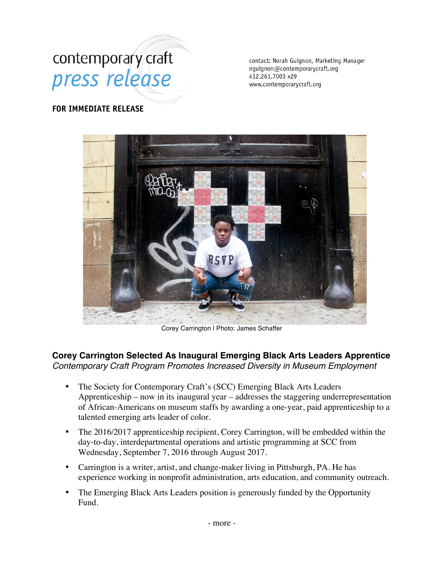# contemporary craft press release

contact: Norah Guignon, Marketing Manager nguignon@contemporarycraft.org 412.261.7003 x29 www.contemporarycraft.org

### **FOR IMMEDIATE RELEASE**



Corey Carrington | Photo: James Schaffer

## **Corey Carrington Selected As Inaugural Emerging Black Arts Leaders Apprentice** *Contemporary Craft Program Promotes Increased Diversity in Museum Employment*

- The Society for Contemporary Craft's (SCC) Emerging Black Arts Leaders Apprenticeship – now in its inaugural year – addresses the staggering underrepresentation of African-Americans on museum staffs by awarding a one-year, paid apprenticeship to a talented emerging arts leader of color.
- The 2016/2017 apprenticeship recipient, Corey Carrington, will be embedded within the day-to-day, interdepartmental operations and artistic programming at SCC from Wednesday, September 7, 2016 through August 2017.
- Carrington is a writer, artist, and change-maker living in Pittsburgh, PA. He has experience working in nonprofit administration, arts education, and community outreach.
- The Emerging Black Arts Leaders position is generously funded by the Opportunity Fund.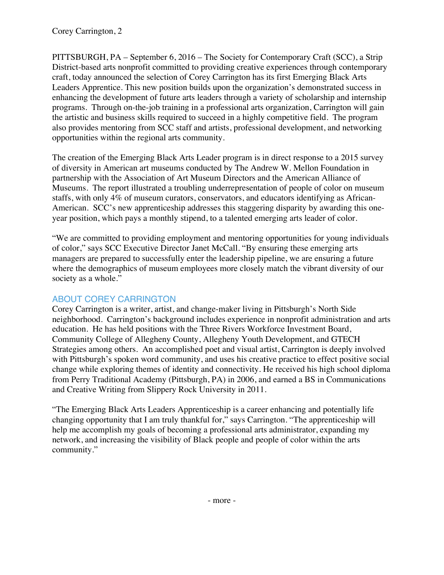PITTSBURGH, PA – September 6, 2016 – The Society for Contemporary Craft (SCC), a Strip District-based arts nonprofit committed to providing creative experiences through contemporary craft, today announced the selection of Corey Carrington has its first Emerging Black Arts Leaders Apprentice. This new position builds upon the organization's demonstrated success in enhancing the development of future arts leaders through a variety of scholarship and internship programs. Through on-the-job training in a professional arts organization, Carrington will gain the artistic and business skills required to succeed in a highly competitive field. The program also provides mentoring from SCC staff and artists, professional development, and networking opportunities within the regional arts community.

The creation of the Emerging Black Arts Leader program is in direct response to a 2015 survey of diversity in American art museums conducted by The Andrew W. Mellon Foundation in partnership with the Association of Art Museum Directors and the American Alliance of Museums. The report illustrated a troubling underrepresentation of people of color on museum staffs, with only 4% of museum curators, conservators, and educators identifying as African-American. SCC's new apprenticeship addresses this staggering disparity by awarding this oneyear position, which pays a monthly stipend, to a talented emerging arts leader of color.

"We are committed to providing employment and mentoring opportunities for young individuals of color," says SCC Executive Director Janet McCall. "By ensuring these emerging arts managers are prepared to successfully enter the leadership pipeline, we are ensuring a future where the demographics of museum employees more closely match the vibrant diversity of our society as a whole."

## ABOUT COREY CARRINGTON

Corey Carrington is a writer, artist, and change-maker living in Pittsburgh's North Side neighborhood. Carrington's background includes experience in nonprofit administration and arts education. He has held positions with the Three Rivers Workforce Investment Board, Community College of Allegheny County, Allegheny Youth Development, and GTECH Strategies among others. An accomplished poet and visual artist, Carrington is deeply involved with Pittsburgh's spoken word community, and uses his creative practice to effect positive social change while exploring themes of identity and connectivity. He received his high school diploma from Perry Traditional Academy (Pittsburgh, PA) in 2006, and earned a BS in Communications and Creative Writing from Slippery Rock University in 2011.

"The Emerging Black Arts Leaders Apprenticeship is a career enhancing and potentially life changing opportunity that I am truly thankful for," says Carrington. "The apprenticeship will help me accomplish my goals of becoming a professional arts administrator, expanding my network, and increasing the visibility of Black people and people of color within the arts community."